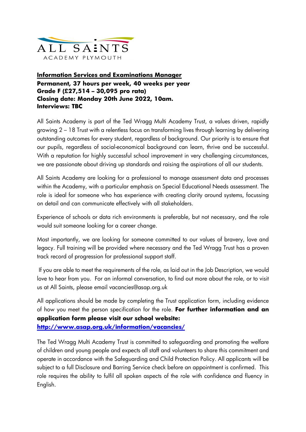

## **Information Services and Examinations Manager Permanent, 37 hours per week, 40 weeks per year Grade F (£27,514 – 30,095 pro rata) Closing date: Monday 20th June 2022, 10am. Interviews: TBC**

All Saints Academy is part of the Ted Wragg Multi Academy Trust, a values driven, rapidly growing 2 – 18 Trust with a relentless focus on transforming lives through learning by delivering outstanding outcomes for every student, regardless of background. Our priority is to ensure that our pupils, regardless of social-economical background can learn, thrive and be successful. With a reputation for highly successful school improvement in very challenging circumstances, we are passionate about driving up standards and raising the aspirations of all our students.

All Saints Academy are looking for a professional to manage assessment data and processes within the Academy, with a particular emphasis on Special Educational Needs assessment. The role is ideal for someone who has experience with creating clarity around systems, focussing on detail and can communicate effectively with all stakeholders.

Experience of schools or data rich environments is preferable, but not necessary, and the role would suit someone looking for a career change.

Most importantly, we are looking for someone committed to our values of bravery, love and legacy. Full training will be provided where necessary and the Ted Wragg Trust has a proven track record of progression for professional support staff.

If you are able to meet the requirements of the role, as laid out in the Job Description, we would love to hear from you. For an informal conversation, to find out more about the role, or to visit us at All Saints, please email vacancies@asap.org.uk

All applications should be made by completing the Trust application form, including evidence of how you meet the person specification for the role. **For further information and an application form please visit our school website: <http://www.asap.org.uk/information/vacancies/>**

The Ted Wragg Multi Academy Trust is committed to safeguarding and promoting the welfare of children and young people and expects all staff and volunteers to share this commitment and operate in accordance with the Safeguarding and Child Protection Policy. All applicants will be subject to a full Disclosure and Barring Service check before an appointment is confirmed. This role requires the ability to fulfil all spoken aspects of the role with confidence and fluency in English.